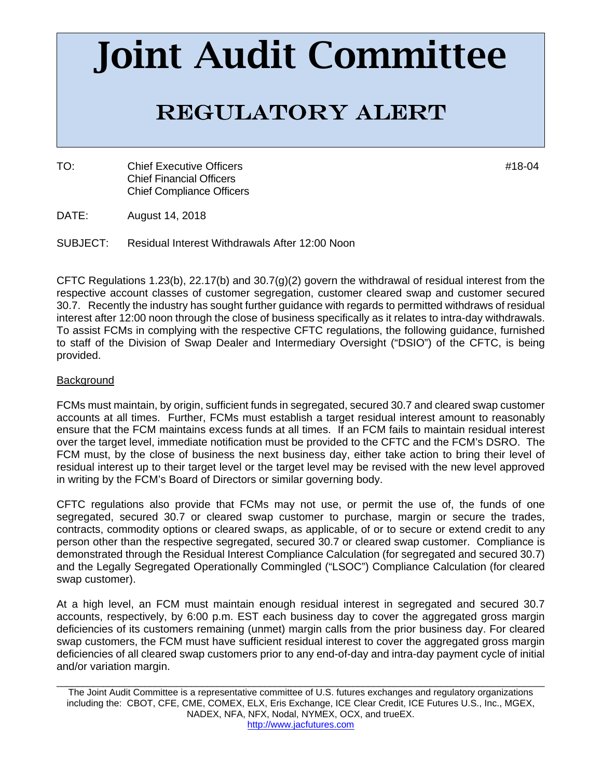# Joint Audit Committee

# Regulatory Alert

TO: Chief Executive Officers #18-04 Chief Financial Officers Chief Compliance Officers

- DATE: August 14, 2018
- SUBJECT: Residual Interest Withdrawals After 12:00 Noon

CFTC Regulations 1.23(b), 22.17(b) and 30.7(g)(2) govern the withdrawal of residual interest from the respective account classes of customer segregation, customer cleared swap and customer secured 30.7. Recently the industry has sought further guidance with regards to permitted withdraws of residual interest after 12:00 noon through the close of business specifically as it relates to intra-day withdrawals. To assist FCMs in complying with the respective CFTC regulations, the following guidance, furnished to staff of the Division of Swap Dealer and Intermediary Oversight ("DSIO") of the CFTC, is being provided.

## **Background**

FCMs must maintain, by origin, sufficient funds in segregated, secured 30.7 and cleared swap customer accounts at all times. Further, FCMs must establish a target residual interest amount to reasonably ensure that the FCM maintains excess funds at all times. If an FCM fails to maintain residual interest over the target level, immediate notification must be provided to the CFTC and the FCM's DSRO. The FCM must, by the close of business the next business day, either take action to bring their level of residual interest up to their target level or the target level may be revised with the new level approved in writing by the FCM's Board of Directors or similar governing body.

CFTC regulations also provide that FCMs may not use, or permit the use of, the funds of one segregated, secured 30.7 or cleared swap customer to purchase, margin or secure the trades, contracts, commodity options or cleared swaps, as applicable, of or to secure or extend credit to any person other than the respective segregated, secured 30.7 or cleared swap customer. Compliance is demonstrated through the Residual Interest Compliance Calculation (for segregated and secured 30.7) and the Legally Segregated Operationally Commingled ("LSOC") Compliance Calculation (for cleared swap customer).

At a high level, an FCM must maintain enough residual interest in segregated and secured 30.7 accounts, respectively, by 6:00 p.m. EST each business day to cover the aggregated gross margin deficiencies of its customers remaining (unmet) margin calls from the prior business day. For cleared swap customers, the FCM must have sufficient residual interest to cover the aggregated gross margin deficiencies of all cleared swap customers prior to any end-of-day and intra-day payment cycle of initial and/or variation margin.

\_\_\_\_\_\_\_\_\_\_\_\_\_\_\_\_\_\_\_\_\_\_\_\_\_\_\_\_\_\_\_\_\_\_\_\_\_\_\_\_\_\_\_\_\_\_\_\_\_\_\_\_\_\_\_\_\_\_\_\_\_\_\_\_\_\_\_\_\_\_\_\_\_\_\_\_\_\_\_\_\_\_\_\_\_\_\_\_\_\_\_\_\_\_

The Joint Audit Committee is a representative committee of U.S. futures exchanges and regulatory organizations including the: CBOT, CFE, CME, COMEX, ELX, Eris Exchange, ICE Clear Credit, ICE Futures U.S., Inc., MGEX, NADEX, NFA, NFX, Nodal, NYMEX, OCX, and trueEX. http://www.jacfutures.com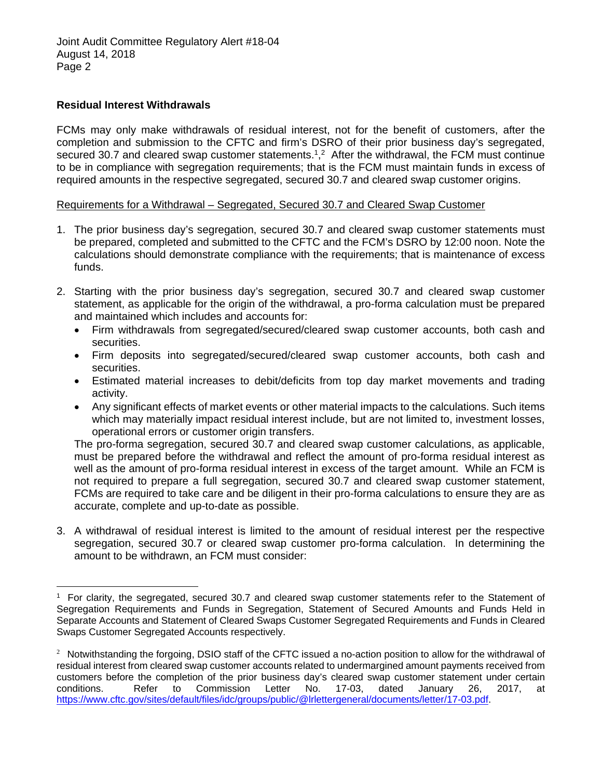Joint Audit Committee Regulatory Alert #18-04 August 14, 2018 Page 2

### **Residual Interest Withdrawals**

 $\overline{a}$ 

FCMs may only make withdrawals of residual interest, not for the benefit of customers, after the completion and submission to the CFTC and firm's DSRO of their prior business day's segregated, secured 30.7 and cleared swap customer statements.<sup>1</sup>,<sup>2</sup> After the withdrawal, the FCM must continue to be in compliance with segregation requirements; that is the FCM must maintain funds in excess of required amounts in the respective segregated, secured 30.7 and cleared swap customer origins.

### Requirements for a Withdrawal – Segregated, Secured 30.7 and Cleared Swap Customer

- 1. The prior business day's segregation, secured 30.7 and cleared swap customer statements must be prepared, completed and submitted to the CFTC and the FCM's DSRO by 12:00 noon. Note the calculations should demonstrate compliance with the requirements; that is maintenance of excess funds.
- 2. Starting with the prior business day's segregation, secured 30.7 and cleared swap customer statement, as applicable for the origin of the withdrawal, a pro-forma calculation must be prepared and maintained which includes and accounts for:
	- Firm withdrawals from segregated/secured/cleared swap customer accounts, both cash and securities.
	- Firm deposits into segregated/secured/cleared swap customer accounts, both cash and securities.
	- Estimated material increases to debit/deficits from top day market movements and trading activity.
	- Any significant effects of market events or other material impacts to the calculations. Such items which may materially impact residual interest include, but are not limited to, investment losses, operational errors or customer origin transfers.

The pro-forma segregation, secured 30.7 and cleared swap customer calculations, as applicable, must be prepared before the withdrawal and reflect the amount of pro-forma residual interest as well as the amount of pro-forma residual interest in excess of the target amount. While an FCM is not required to prepare a full segregation, secured 30.7 and cleared swap customer statement, FCMs are required to take care and be diligent in their pro-forma calculations to ensure they are as accurate, complete and up-to-date as possible.

3. A withdrawal of residual interest is limited to the amount of residual interest per the respective segregation, secured 30.7 or cleared swap customer pro-forma calculation. In determining the amount to be withdrawn, an FCM must consider:

<sup>1</sup> For clarity, the segregated, secured 30.7 and cleared swap customer statements refer to the Statement of Segregation Requirements and Funds in Segregation, Statement of Secured Amounts and Funds Held in Separate Accounts and Statement of Cleared Swaps Customer Segregated Requirements and Funds in Cleared Swaps Customer Segregated Accounts respectively.

 $2$  Notwithstanding the forgoing, DSIO staff of the CFTC issued a no-action position to allow for the withdrawal of residual interest from cleared swap customer accounts related to undermargined amount payments received from customers before the completion of the prior business day's cleared swap customer statement under certain conditions. Refer to Commission Letter No. 17-03, dated January 26, 2017, at https://www.cftc.gov/sites/default/files/idc/groups/public/@lrlettergeneral/documents/letter/17-03.pdf.